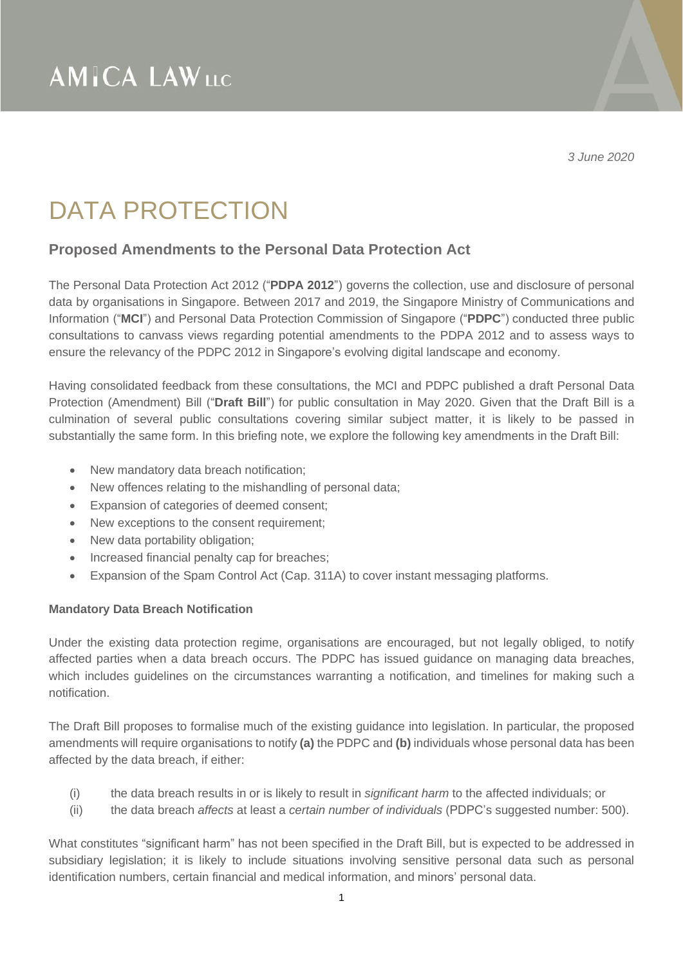*3 June 2020*

### DATA PROTECTION

### **Proposed Amendments to the Personal Data Protection Act**

The Personal Data Protection Act 2012 ("**PDPA 2012**") governs the collection, use and disclosure of personal data by organisations in Singapore. Between 2017 and 2019, the Singapore Ministry of Communications and Information ("**MCI**") and Personal Data Protection Commission of Singapore ("**PDPC**") conducted three public consultations to canvass views regarding potential amendments to the PDPA 2012 and to assess ways to ensure the relevancy of the PDPC 2012 in Singapore's evolving digital landscape and economy.

Having consolidated feedback from these consultations, the MCI and PDPC published a draft Personal Data Protection (Amendment) Bill ("**Draft Bill**") for public consultation in May 2020. Given that the Draft Bill is a culmination of several public consultations covering similar subject matter, it is likely to be passed in substantially the same form. In this briefing note, we explore the following key amendments in the Draft Bill:

- New mandatory data breach notification;
- New offences relating to the mishandling of personal data;
- Expansion of categories of deemed consent;
- New exceptions to the consent requirement;
- New data portability obligation;
- Increased financial penalty cap for breaches;
- Expansion of the Spam Control Act (Cap. 311A) to cover instant messaging platforms.

#### **Mandatory Data Breach Notification**

Under the existing data protection regime, organisations are encouraged, but not legally obliged, to notify affected parties when a data breach occurs. The PDPC has issued guidance on managing data breaches, which includes guidelines on the circumstances warranting a notification, and timelines for making such a notification.

The Draft Bill proposes to formalise much of the existing guidance into legislation. In particular, the proposed amendments will require organisations to notify **(a)** the PDPC and **(b)** individuals whose personal data has been affected by the data breach, if either:

- (i) the data breach results in or is likely to result in *significant harm* to the affected individuals; or
- (ii) the data breach *affects* at least a *certain number of individuals* (PDPC's suggested number: 500).

What constitutes "significant harm" has not been specified in the Draft Bill, but is expected to be addressed in subsidiary legislation; it is likely to include situations involving sensitive personal data such as personal identification numbers, certain financial and medical information, and minors' personal data.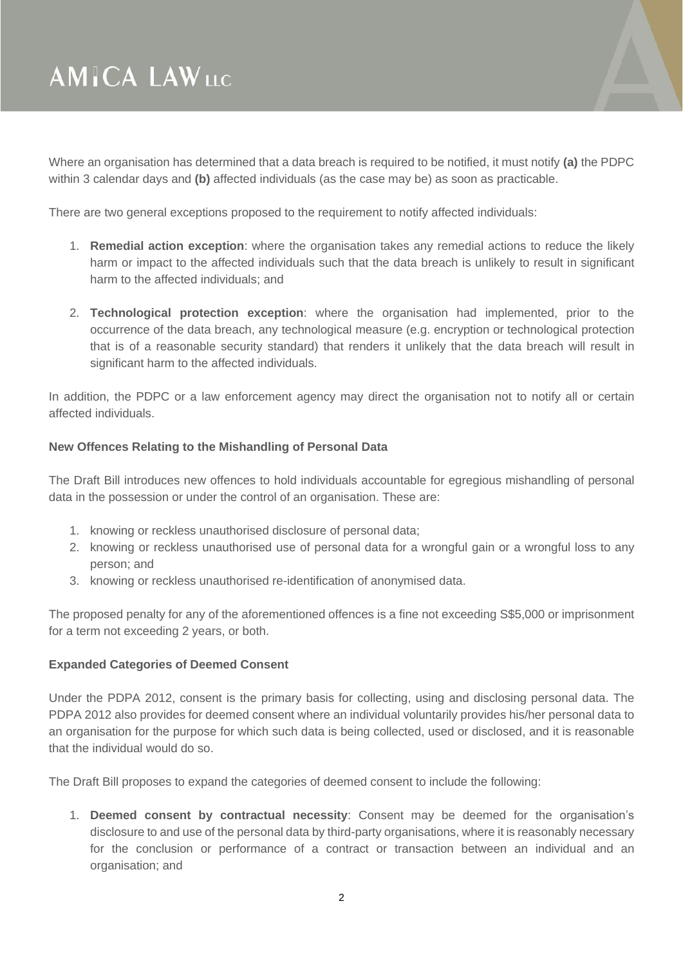

Where an organisation has determined that a data breach is required to be notified, it must notify **(a)** the PDPC within 3 calendar days and **(b)** affected individuals (as the case may be) as soon as practicable.

There are two general exceptions proposed to the requirement to notify affected individuals:

- 1. **Remedial action exception**: where the organisation takes any remedial actions to reduce the likely harm or impact to the affected individuals such that the data breach is unlikely to result in significant harm to the affected individuals; and
- 2. **Technological protection exception**: where the organisation had implemented, prior to the occurrence of the data breach, any technological measure (e.g. encryption or technological protection that is of a reasonable security standard) that renders it unlikely that the data breach will result in significant harm to the affected individuals.

In addition, the PDPC or a law enforcement agency may direct the organisation not to notify all or certain affected individuals.

### **New Offences Relating to the Mishandling of Personal Data**

The Draft Bill introduces new offences to hold individuals accountable for egregious mishandling of personal data in the possession or under the control of an organisation. These are:

- 1. knowing or reckless unauthorised disclosure of personal data;
- 2. knowing or reckless unauthorised use of personal data for a wrongful gain or a wrongful loss to any person; and
- 3. knowing or reckless unauthorised re-identification of anonymised data.

The proposed penalty for any of the aforementioned offences is a fine not exceeding S\$5,000 or imprisonment for a term not exceeding 2 years, or both.

#### **Expanded Categories of Deemed Consent**

Under the PDPA 2012, consent is the primary basis for collecting, using and disclosing personal data. The PDPA 2012 also provides for deemed consent where an individual voluntarily provides his/her personal data to an organisation for the purpose for which such data is being collected, used or disclosed, and it is reasonable that the individual would do so.

The Draft Bill proposes to expand the categories of deemed consent to include the following:

1. **Deemed consent by contractual necessity**: Consent may be deemed for the organisation's disclosure to and use of the personal data by third-party organisations, where it is reasonably necessary for the conclusion or performance of a contract or transaction between an individual and an organisation; and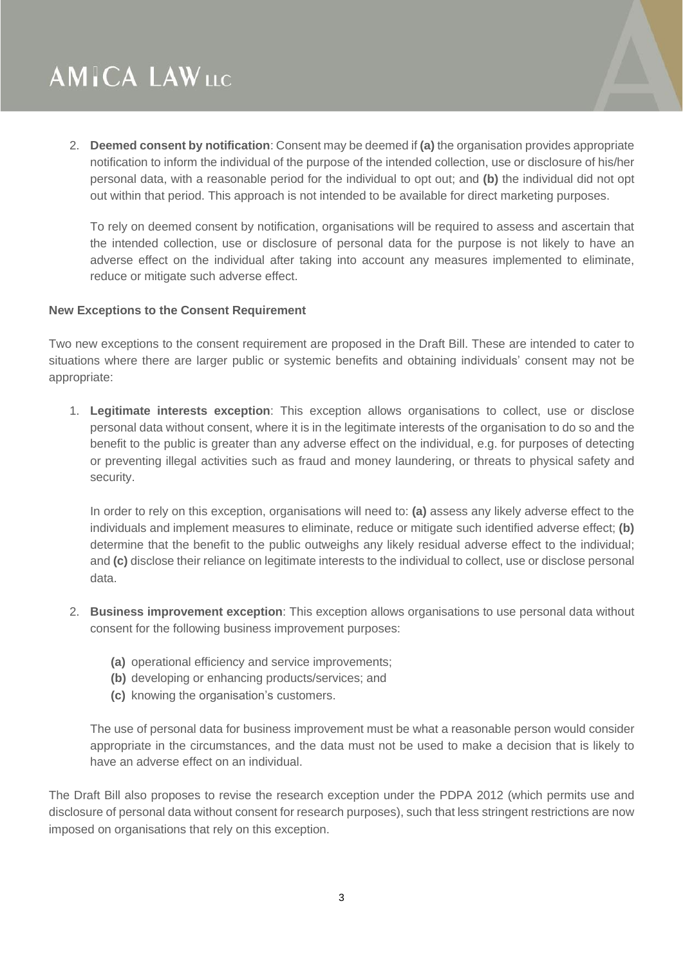2. **Deemed consent by notification**: Consent may be deemed if **(a)** the organisation provides appropriate notification to inform the individual of the purpose of the intended collection, use or disclosure of his/her personal data, with a reasonable period for the individual to opt out; and **(b)** the individual did not opt out within that period. This approach is not intended to be available for direct marketing purposes.

To rely on deemed consent by notification, organisations will be required to assess and ascertain that the intended collection, use or disclosure of personal data for the purpose is not likely to have an adverse effect on the individual after taking into account any measures implemented to eliminate, reduce or mitigate such adverse effect.

#### **New Exceptions to the Consent Requirement**

Two new exceptions to the consent requirement are proposed in the Draft Bill. These are intended to cater to situations where there are larger public or systemic benefits and obtaining individuals' consent may not be appropriate:

1. **Legitimate interests exception**: This exception allows organisations to collect, use or disclose personal data without consent, where it is in the legitimate interests of the organisation to do so and the benefit to the public is greater than any adverse effect on the individual, e.g. for purposes of detecting or preventing illegal activities such as fraud and money laundering, or threats to physical safety and security.

In order to rely on this exception, organisations will need to: **(a)** assess any likely adverse effect to the individuals and implement measures to eliminate, reduce or mitigate such identified adverse effect; **(b)** determine that the benefit to the public outweighs any likely residual adverse effect to the individual; and **(c)** disclose their reliance on legitimate interests to the individual to collect, use or disclose personal data.

- 2. **Business improvement exception**: This exception allows organisations to use personal data without consent for the following business improvement purposes:
	- **(a)** operational efficiency and service improvements;
	- **(b)** developing or enhancing products/services; and
	- **(c)** knowing the organisation's customers.

The use of personal data for business improvement must be what a reasonable person would consider appropriate in the circumstances, and the data must not be used to make a decision that is likely to have an adverse effect on an individual.

The Draft Bill also proposes to revise the research exception under the PDPA 2012 (which permits use and disclosure of personal data without consent for research purposes), such that less stringent restrictions are now imposed on organisations that rely on this exception.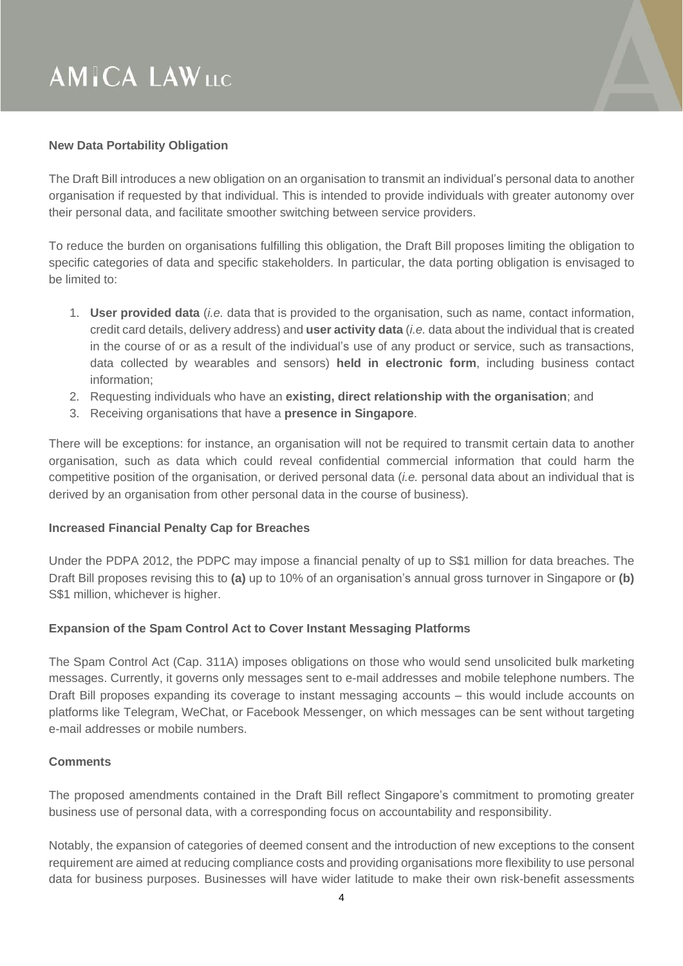### **New Data Portability Obligation**

The Draft Bill introduces a new obligation on an organisation to transmit an individual's personal data to another organisation if requested by that individual. This is intended to provide individuals with greater autonomy over their personal data, and facilitate smoother switching between service providers.

To reduce the burden on organisations fulfilling this obligation, the Draft Bill proposes limiting the obligation to specific categories of data and specific stakeholders. In particular, the data porting obligation is envisaged to be limited to:

- 1. **User provided data** (*i.e.* data that is provided to the organisation, such as name, contact information, credit card details, delivery address) and **user activity data** (*i.e.* data about the individual that is created in the course of or as a result of the individual's use of any product or service, such as transactions, data collected by wearables and sensors) **held in electronic form**, including business contact information;
- 2. Requesting individuals who have an **existing, direct relationship with the organisation**; and
- 3. Receiving organisations that have a **presence in Singapore**.

There will be exceptions: for instance, an organisation will not be required to transmit certain data to another organisation, such as data which could reveal confidential commercial information that could harm the competitive position of the organisation, or derived personal data (*i.e.* personal data about an individual that is derived by an organisation from other personal data in the course of business).

#### **Increased Financial Penalty Cap for Breaches**

Under the PDPA 2012, the PDPC may impose a financial penalty of up to S\$1 million for data breaches. The Draft Bill proposes revising this to **(a)** up to 10% of an organisation's annual gross turnover in Singapore or **(b)** S\$1 million, whichever is higher.

### **Expansion of the Spam Control Act to Cover Instant Messaging Platforms**

The Spam Control Act (Cap. 311A) imposes obligations on those who would send unsolicited bulk marketing messages. Currently, it governs only messages sent to e-mail addresses and mobile telephone numbers. The Draft Bill proposes expanding its coverage to instant messaging accounts – this would include accounts on platforms like Telegram, WeChat, or Facebook Messenger, on which messages can be sent without targeting e-mail addresses or mobile numbers.

#### **Comments**

The proposed amendments contained in the Draft Bill reflect Singapore's commitment to promoting greater business use of personal data, with a corresponding focus on accountability and responsibility.

Notably, the expansion of categories of deemed consent and the introduction of new exceptions to the consent requirement are aimed at reducing compliance costs and providing organisations more flexibility to use personal data for business purposes. Businesses will have wider latitude to make their own risk-benefit assessments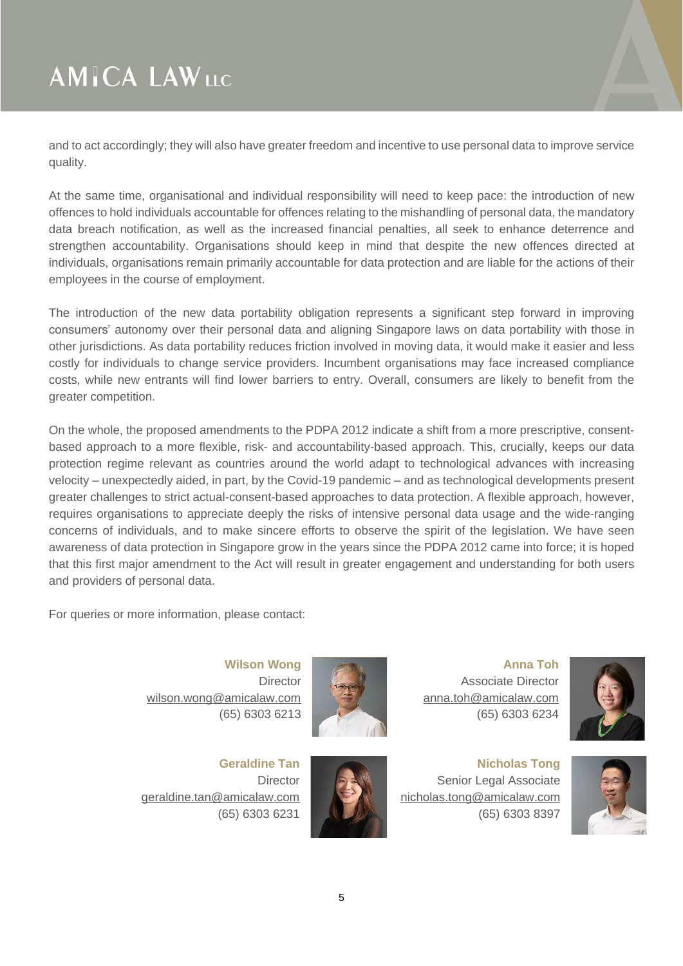and to act accordingly; they will also have greater freedom and incentive to use personal data to improve service quality.

At the same time, organisational and individual responsibility will need to keep pace: the introduction of new offences to hold individuals accountable for offences relating to the mishandling of personal data, the mandatory data breach notification, as well as the increased financial penalties, all seek to enhance deterrence and strengthen accountability. Organisations should keep in mind that despite the new offences directed at individuals, organisations remain primarily accountable for data protection and are liable for the actions of their employees in the course of employment.

The introduction of the new data portability obligation represents a significant step forward in improving consumers' autonomy over their personal data and aligning Singapore laws on data portability with those in other jurisdictions. As data portability reduces friction involved in moving data, it would make it easier and less costly for individuals to change service providers. Incumbent organisations may face increased compliance costs, while new entrants will find lower barriers to entry. Overall, consumers are likely to benefit from the greater competition.

On the whole, the proposed amendments to the PDPA 2012 indicate a shift from a more prescriptive, consentbased approach to a more flexible, risk- and accountability-based approach. This, crucially, keeps our data protection regime relevant as countries around the world adapt to technological advances with increasing velocity – unexpectedly aided, in part, by the Covid-19 pandemic – and as technological developments present greater challenges to strict actual-consent-based approaches to data protection. A flexible approach, however, requires organisations to appreciate deeply the risks of intensive personal data usage and the wide-ranging concerns of individuals, and to make sincere efforts to observe the spirit of the legislation. We have seen awareness of data protection in Singapore grow in the years since the PDPA 2012 came into force; it is hoped that this first major amendment to the Act will result in greater engagement and understanding for both users and providers of personal data.

For queries or more information, please contact:

**Wilson Wong Director** [wilson.wong@amicalaw.com](mailto:wilson.wong@amicalaw.com) (65) 6303 6213



**Geraldine Tan Director** [geraldine.tan@amicalaw.com](mailto:geraldine.tan@amicalaw.com) (65) 6303 6231



**Nicholas Tong** Senior Legal Associate [nicholas.tong@amicalaw.com](mailto:nicholas.tong@amicalaw.com) (65) 6303 8397